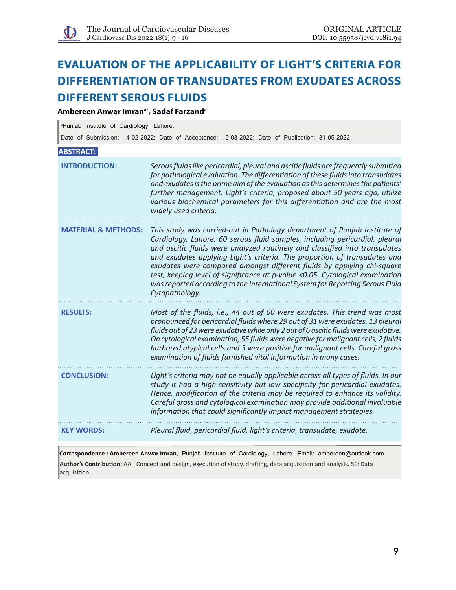# **Evaluation of the applicability of Light's criteria for differentiation of transudates from exudates across different serous fluids**

# **Ambereen Anwar Imrana\*, Sadaf Farzanda**

a Punjab Institute of Cardiology, Lahore.

Date of Submission: 14-02-2022; Date of Acceptance: 15-03-2022; Date of Publication: 31-05-2022

## **ABSTRACT:**

| <b>INTRODUCTION:</b>           | Serous fluids like pericardial, pleural and ascitic fluids are frequently submitted<br>for pathological evaluation. The differentiation of these fluids into transudates<br>and exudates is the prime aim of the evaluation as this determines the patients'<br>further management. Light's criteria, proposed about 50 years ago, utilize<br>various biochemical parameters for this differentiation and are the most<br>widely used criteria.                                                                                                                                   |
|--------------------------------|-----------------------------------------------------------------------------------------------------------------------------------------------------------------------------------------------------------------------------------------------------------------------------------------------------------------------------------------------------------------------------------------------------------------------------------------------------------------------------------------------------------------------------------------------------------------------------------|
| <b>MATERIAL &amp; METHODS:</b> | This study was carried-out in Pathology department of Punjab Institute of<br>Cardiology, Lahore. 60 serous fluid samples, including pericardial, pleural<br>and ascitic fluids were analyzed routinely and classified into transudates<br>and exudates applying Light's criteria. The proportion of transudates and<br>exudates were compared amongst different fluids by applying chi-square<br>test, keeping level of significance at p-value <0.05. Cytological examination<br>was reported according to the International System for Reporting Serous Fluid<br>Cytopathology. |
| <b>RESULTS:</b>                | Most of the fluids, i.e., 44 out of 60 were exudates. This trend was most<br>pronounced for pericardial fluids where 29 out of 31 were exudates. 13 pleural<br>fluids out of 23 were exudative while only 2 out of 6 ascitic fluids were exudative.<br>On cytological examination, 55 fluids were negative for malignant cells, 2 fluids<br>harbored atypical cells and 3 were positive for malignant cells. Careful gross<br>examination of fluids furnished vital information in many cases.                                                                                    |
| <b>CONCLUSION:</b>             | Light's criteria may not be equally applicable across all types of fluids. In our<br>study it had a high sensitivity but low specificity for pericardial exudates.<br>Hence, modification of the criteria may be required to enhance its validity.<br>Careful gross and cytological examination may provide additional invaluable<br>information that could significantly impact management strategies.                                                                                                                                                                           |
| <b>KEY WORDS:</b>              | Pleural fluid, pericardial fluid, light's criteria, transudate, exudate.                                                                                                                                                                                                                                                                                                                                                                                                                                                                                                          |

**Correspondence : Ambereen Anwar Imran**, Punjab Institute of Cardiology, Lahore. Email: ambereen@outlook.com **Author's Contribution:** AAI: Concept and design, execution of study, drafting, data acquisition and analysis. SF: Data acquisition.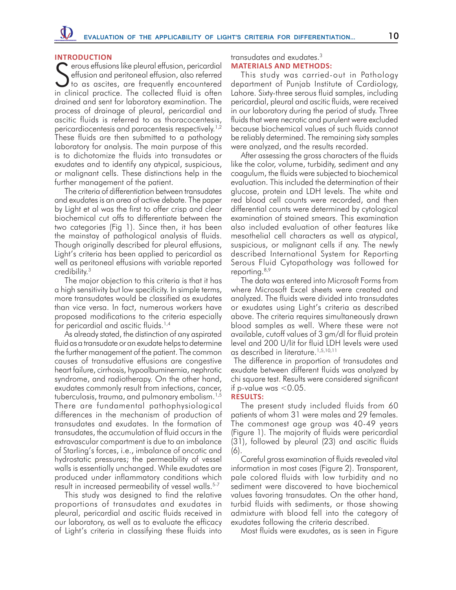#### **Introduction**

Serous effusions like pleural effusion, pericardial<br>
of the series of the series of the series of the series of the series of the series of the series of the series of the series of the series of the series of the series o effusion and peritoneal effusion, also referred to as ascites, are frequently encountered in clinical practice. The collected fluid is often drained and sent for laboratory examination. The process of drainage of pleural, pericardial and ascitic fluids is referred to as thoracocentesis, pericardiocentesis and paracentesis respectively.<sup>1,2</sup> These fluids are then submitted to a pathology laboratory for analysis. The main purpose of this is to dichotomize the fluids into transudates or exudates and to identify any atypical, suspicious, or malignant cells. These distinctions help in the further management of the patient.

The criteria of differentiation between transudates and exudates is an area of active debate. The paper by Light et al was the first to offer crisp and clear biochemical cut offs to differentiate between the two categories (Fig 1). Since then, it has been the mainstay of pathological analysis of fluids. Though originally described for pleural effusions, Light's criteria has been applied to pericardial as well as peritoneal effusions with variable reported credibility.3

The major objection to this criteria is that it has a high sensitivity but low specificity. In simple terms, more transudates would be classified as exudates than vice versa. In fact, numerous workers have proposed modifications to the criteria especially for pericardial and ascitic fluids.<sup>1,4</sup>

As already stated, the distinction of any aspirated fluid as a transudate or an exudate helps to determine the further management of the patient. The common causes of transudative effusions are congestive heart failure, cirrhosis, hypoalbuminemia, nephrotic syndrome, and radiotherapy. On the other hand, exudates commonly result from infections, cancer, tuberculosis, trauma, and pulmonary embolism.1,5 There are fundamental pathophysiological differences in the mechanism of production of transudates and exudates. In the formation of transudates, the accumulation of fluid occurs in the extravascular compartment is due to an imbalance of Starling's forces, i.e., imbalance of oncotic and hydrostatic pressures; the permeability of vessel walls is essentially unchanged. While exudates are produced under inflammatory conditions which result in increased permeability of vessel walls.<sup>5-7</sup>

This study was designed to find the relative proportions of transudates and exudates in pleural, pericardial and ascitic fluids received in our laboratory, as well as to evaluate the efficacy of Light's criteria in classifying these fluids into

transudates and exudates.3 **Materials and methods:**

This study was carried-out in Pathology department of Punjab Institute of Cardiology, Lahore. Sixty-three serous fluid samples, including pericardial, pleural and ascitic fluids, were received in our laboratory during the period of study. Three fluids that were necrotic and purulent were excluded because biochemical values of such fluids cannot be reliably determined. The remaining sixty samples were analyzed, and the results recorded.

After assessing the gross characters of the fluids like the color, volume, turbidity, sediment and any coagulum, the fluids were subjected to biochemical evaluation. This included the determination of their glucose, protein and LDH levels. The white and red blood cell counts were recorded, and then differential counts were determined by cytological examination of stained smears. This examination also included evaluation of other features like mesothelial cell characters as well as atypical, suspicious, or malignant cells if any. The newly described International System for Reporting Serous Fluid Cytopathology was followed for reporting.<sup>8,9</sup>

The data was entered into Microsoft Forms from where Microsoft Excel sheets were created and analyzed. The fluids were divided into transudates or exudates using Light's criteria as described above. The criteria requires simultaneously drawn blood samples as well. Where these were not available, cutoff values of 3 gm/dl for fluid protein level and 200 U/lit for fluid LDH levels were used as described in literature.<sup>1,5,10,11</sup>

 The difference in proportion of transudates and exudate between different fluids was analyzed by chi square test. Results were considered significant if p-value was  $< 0.05$ .

#### **Results:**

The present study included fluids from 60 patients of whom 31 were males and 29 females. The commonest age group was 40-49 years (Figure 1). The majority of fluids were pericardial (31), followed by pleural (23) and ascitic fluids (6).

Careful gross examination of fluids revealed vital information in most cases (Figure 2). Transparent, pale colored fluids with low turbidity and no sediment were discovered to have biochemical values favoring transudates. On the other hand, turbid fluids with sediments, or those showing admixture with blood fell into the category of exudates following the criteria described.

Most fluids were exudates, as is seen in Figure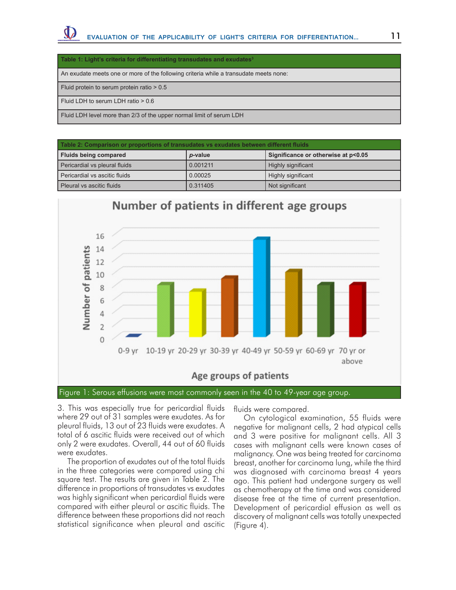#### Table 1: Light's criteria for differentiating transudates and exudates<sup>3</sup>

An exudate meets one or more of the following criteria while a transudate meets none:

Fluid protein to serum protein ratio > 0.5

Fluid LDH to serum LDH ratio > 0.6

Fluid LDH level more than 2/3 of the upper normal limit of serum LDH

| Table 2: Comparison or proportions of transudates vs exudates between different fluids |          |                                     |  |
|----------------------------------------------------------------------------------------|----------|-------------------------------------|--|
| Fluids being compared                                                                  | p-value  | Significance or otherwise at p<0.05 |  |
| Pericardial vs pleural fluids                                                          | 0.001211 | Highly significant                  |  |
| Pericardial vs ascitic fluids                                                          | 0.00025  | Highly significant                  |  |
| Pleural vs ascitic fluids                                                              | 0.311405 | Not significant                     |  |



Figure 1: Serous effusions were most commonly seen in the 40 to 49-year age group.

3. This was especially true for pericardial fluids where 29 out of 31 samples were exudates. As for pleural fluids, 13 out of 23 fluids were exudates. A total of 6 ascitic fluids were received out of which only 2 were exudates. Overall, 44 out of 60 fluids were exudates.

The proportion of exudates out of the total fluids in the three categories were compared using chi square test. The results are given in Table 2. The difference in proportions of transudates vs exudates was highly significant when pericardial fluids were compared with either pleural or ascitic fluids. The difference between these proportions did not reach statistical significance when pleural and ascitic

fluids were compared.

On cytological examination, 55 fluids were negative for malignant cells, 2 had atypical cells and 3 were positive for malignant cells. All 3 cases with malignant cells were known cases of malignancy. One was being treated for carcinoma breast, another for carcinoma lung, while the third was diagnosed with carcinoma breast 4 years ago. This patient had undergone surgery as well as chemotherapy at the time and was considered disease free at the time of current presentation. Development of pericardial effusion as well as discovery of malignant cells was totally unexpected (Figure 4).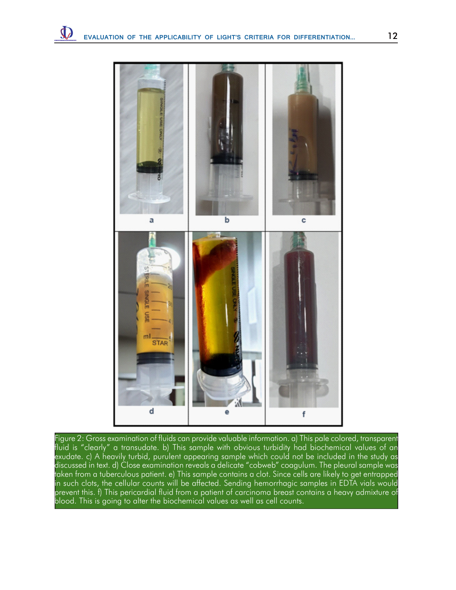

Figure 2: Gross examination of fluids can provide valuable information. a) This pale colored, transparent fluid is "clearly" a transudate. b) This sample with obvious turbidity had biochemical values of an exudate. c) A heavily turbid, purulent appearing sample which could not be included in the study as discussed in text. d) Close examination reveals a delicate "cobweb" coagulum. The pleural sample was taken from a tuberculous patient. e) This sample contains a clot. Since cells are likely to get entrapped in such clots, the cellular counts will be affected. Sending hemorrhagic samples in EDTA vials would prevent this. f) This pericardial fluid from a patient of carcinoma breast contains a heavy admixture of blood. This is going to alter the biochemical values as well as cell counts.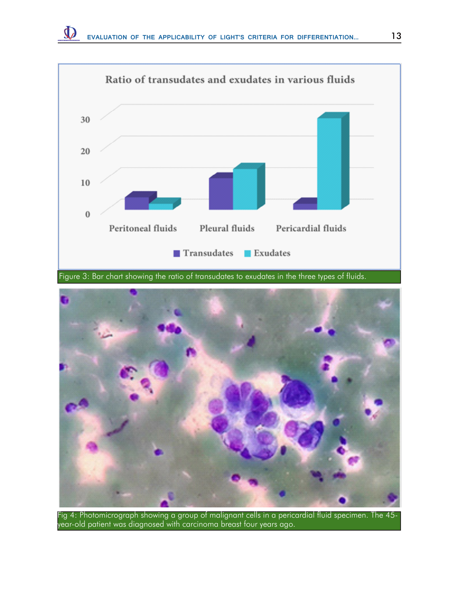

Figure 3: Bar chart showing the ratio of transudates to exudates in the three types of fluids.



Fig 4: Photomicrograph showing a group of malignant cells in a pericardial fluid specimen. The 45 year-old patient was diagnosed with carcinoma breast four years ago.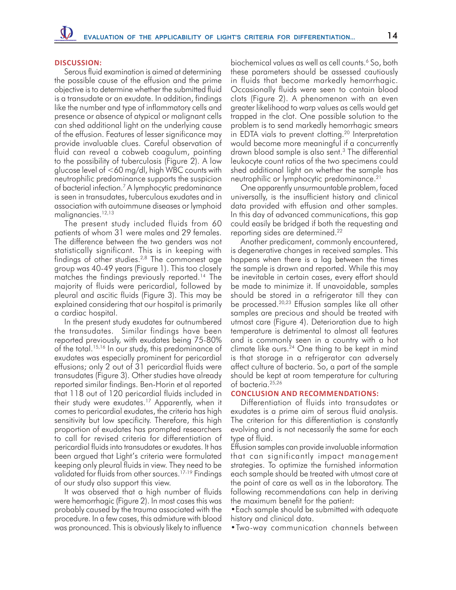## **Discussion:**

Serous fluid examination is aimed at determining the possible cause of the effusion and the prime objective is to determine whether the submitted fluid is a transudate or an exudate. In addition, findings like the number and type of inflammatory cells and presence or absence of atypical or malignant cells can shed additional light on the underlying cause of the effusion. Features of lesser significance may provide invaluable clues. Careful observation of fluid can reveal a cobweb coagulum, pointing to the possibility of tuberculosis (Figure 2). A low glucose level of <60 mg/dl, high WBC counts with neutrophilic predominance supports the suspicion of bacterial infection.<sup>7</sup> A lymphocytic predominance is seen in transudates, tuberculous exudates and in association with autoimmune diseases or lymphoid malignancies.<sup>12,13</sup>

The present study included fluids from 60 patients of whom 31 were males and 29 females. The difference between the two genders was not statistically significant. This is in keeping with findings of other studies.2,8 The commonest age group was 40-49 years (Figure 1). This too closely matches the findings previously reported.14 The majority of fluids were pericardial, followed by pleural and ascitic fluids (Figure 3). This may be explained considering that our hospital is primarily a cardiac hospital.

In the present study exudates far outnumbered the transudates. Similar findings have been reported previously, with exudates being 75-80% of the total.<sup>15,16</sup> In our study, this predominance of exudates was especially prominent for pericardial effusions; only 2 out of 31 pericardial fluids were transudates (Figure 3). Other studies have already reported similar findings. Ben-Horin et al reported that 118 out of 120 pericardial fluids included in their study were exudates.17 Apparently, when it comes to pericardial exudates, the criteria has high sensitivity but low specificity. Therefore, this high proportion of exudates has prompted researchers to call for revised criteria for differentiation of pericardial fluids into transudates or exudates. It has been argued that Light's criteria were formulated keeping only pleural fluids in view. They need to be validated for fluids from other sources.<sup>17-19</sup> Findings of our study also support this view.

It was observed that a high number of fluids were hemorrhagic (Figure 2). In most cases this was probably caused by the trauma associated with the procedure. In a few cases, this admixture with blood was pronounced. This is obviously likely to influence

biochemical values as well as cell counts.6 So, both these parameters should be assessed cautiously in fluids that become markedly hemorrhagic. Occasionally fluids were seen to contain blood clots (Figure 2). A phenomenon with an even greater likelihood to warp values as cells would get trapped in the clot. One possible solution to the problem is to send markedly hemorrhagic smears in EDTA vials to prevent clotting.<sup>20</sup> Interpretation would become more meaningful if a concurrently drawn blood sample is also sent.3 The differential leukocyte count ratios of the two specimens could shed additional light on whether the sample has neutrophilic or lymphocytic predominance.21

One apparently unsurmountable problem, faced universally, is the insufficient history and clinical data provided with effusion and other samples. In this day of advanced communications, this gap could easily be bridged if both the requesting and reporting sides are determined.22

Another predicament, commonly encountered, is degenerative changes in received samples. This happens when there is a lag between the times the sample is drawn and reported. While this may be inevitable in certain cases, every effort should be made to minimize it. If unavoidable, samples should be stored in a refrigerator till they can be processed.20,23 Effusion samples like all other samples are precious and should be treated with utmost care (Figure 4). Deterioration due to high temperature is detrimental to almost all features and is commonly seen in a country with a hot climate like ours. $24$  One thing to be kept in mind is that storage in a refrigerator can adversely affect culture of bacteria. So, a part of the sample should be kept at room temperature for culturing of bacteria.25,26

## **Conclusion and Recommendations:**

Differentiation of fluids into transudates or exudates is a prime aim of serous fluid analysis. The criterion for this differentiation is constantly evolving and is not necessarily the same for each type of fluid.

Effusion samples can provide invaluable information that can significantly impact management strategies. To optimize the furnished information each sample should be treated with utmost care at the point of care as well as in the laboratory. The following recommendations can help in deriving the maximum benefit for the patient:

•Each sample should be submitted with adequate history and clinical data.

•Two-way communication channels between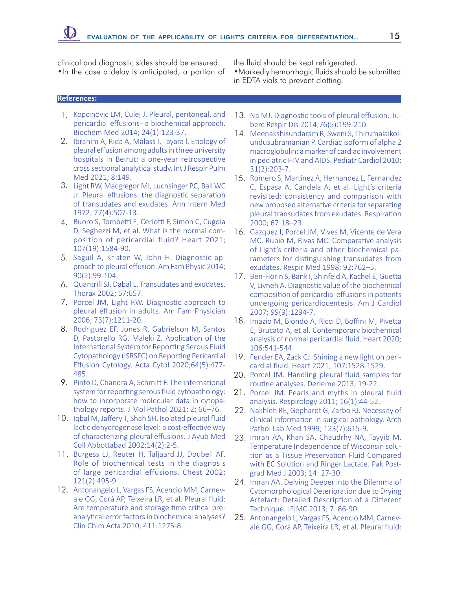clinical and diagnostic sides should be ensured. •In the case a delay is anticipated, a portion of the fluid should be kept refrigerated.

•Markedly hemorrhagic fluids should be submitted in EDTA vials to prevent clotting.

## **References:**

- 1. Kopcinovic LM, Culej J. Pleural, peritoneal, and pericardial effusions - a biochemical approach. Biochem Med 2014; 24(1):123-37.
- 2. Ibrahim A, Rida A, Malass I, Tayara I. Etiology of pleural effusion among adults in three university hospitals in Beirut: a one-year retrospective cross sectional analytical study. Int J Respir Pulm Med 2021; 8:149.
- 3. Light RW, Macgregor MI, Luchsinger PC, Ball WC Jr. Pleural effusions: the diagnostic separation of transudates and exudates. Ann Intern Med 1972; 77(4):507-13.
- 4. Buoro S, Tombetti E, Ceriotti F, Simon C, Cugola D, Seghezzi M, et al. What is the normal composition of pericardial fluid? Heart 2021; 107(19):1584-90.
- 5. Saguil A, Kristen W, John H. Diagnostic approach to pleural effusion. Am Fam Physic 2014; 90(2):99-104.
- 6. Quantrill SJ, Dabal L. Transudates and exudates. Thorax 2002; 57:657.
- 7. Porcel JM, Light RW. Diagnostic approach to pleural effusion in adults. Am Fam Physician 2006; 73(7):1211-20.
- 8. Rodriguez EF, Jones R, Gabrielson M, Santos D, Pastorello RG, Maleki Z. Application of the International System for Reporting Serous Fluid Cytopathology (ISRSFC) on Reporting Pericardial Effusion Cytology. Acta Cytol 2020;64(5):477- 485.
- 9. Pinto D, Chandra A, Schmitt F. The international system for reporting serous fluid cytopathology: how to incorporate molecular data in cytopathology reports. J Mol Pathol 2021; 2: 66–76.
- 10. Iqbal M, Jaffery T, Shah SH. Isolated pleural fluid lactic dehydrogenase level: a cost-effective way of characterizing pleural effusions. J Ayub Med Coll Abbottabad 2002;14(2):2-5.
- 11. Burgess LJ, Reuter H, Taljaard JJ, Doubell AF. Role of biochemical tests in the diagnosis of large pericardial effusions. Chest 2002; 121(2):495-9.
- 12. Antonangelo L, Vargas FS, Acencio MM, Carnevale GG, Corá AP, Teixeira LR, et al. Pleural fluid: Are temperature and storage time critical preanalytical error factors in biochemical analyses? Clin Chim Acta 2010; 411:1275-8.
- 13. Na MJ. Diagnostic tools of pleural effusion. Tuberc Respir Dis 2014;76(5):199-210.
- 14. Meenakshisundaram R, Sweni S, Thirumalaikolundusubramanian P. Cardiac isoform of alpha 2 macroglobulin: a marker of cardiac involvement in pediatric HIV and AIDS. Pediatr Cardiol 2010; 31(2):203-7.
- 15. Romero S, Martinez A, Hernandez L, Fernandez C, Espasa A, Candela A, et al. Light's criteria revisited: consistency and comparison with new proposed alternative criteria for separating pleural transudates from exudates. Respiration 2000; 67:18–23.
- 16. Gazquez I, Porcel JM, Vives M, Vicente de Vera MC, Rubio M, Rivas MC. Comparative analysis of Light's criteria and other biochemical parameters for distinguishing transudates from exudates. Respir Med 1998; 92:762–5.
- 17. Ben-Horin S, Bank I, Shinfeld A, Kachel E, Guetta V, Livneh A. Diagnostic value of the biochemical composition of pericardial effusions in patients undergoing pericardiocentesis. Am J Cardiol 2007; 99(9):1294-7.
- 18. Imazio M, Biondo A, Ricci D, Boffini M, Pivetta E, Brucato A, et al. Contemporary biochemical analysis of normal pericardial fluid. Heart 2020; 106:541-544.
- 19. Fender EA, Zack CJ. Shining a new light on pericardial fluid. Heart 2021; 107:1528-1529.
- 20. Porcel JM. Handling pleural fluid samples for routine analyses. Derleme 2013; 19-22.
- 21. Porcel JM. Pearls and myths in pleural fluid analysis. Respirology 2011; 16(1):44-52.
- 22. Nakhleh RE, Gephardt G, Zarbo RJ. Necessity of clinical information in surgical pathology. Arch Pathol Lab Med 1999; 123(7):615-9.
- 23. Imran AA, Khan SA, Chaudrhy NA, Tayyib M. Temperature Independence of Wisconsin solution as a Tissue Preservation Fluid Compared with EC Solution and Ringer Lactate. Pak Postgrad Med J 2003; 14: 27-30.
- 24. Imran AA. Delving Deeper into the Dilemma of Cytomorphological Deterioration due to Drying Artefact: Detailed Description of a Different Technique. JFJMC 2013; 7: 86-90.
- 25. Antonangelo L, Vargas FS, Acencio MM, Carnevale GG, Corá AP, Teixeira LR, et al. Pleural fluid: